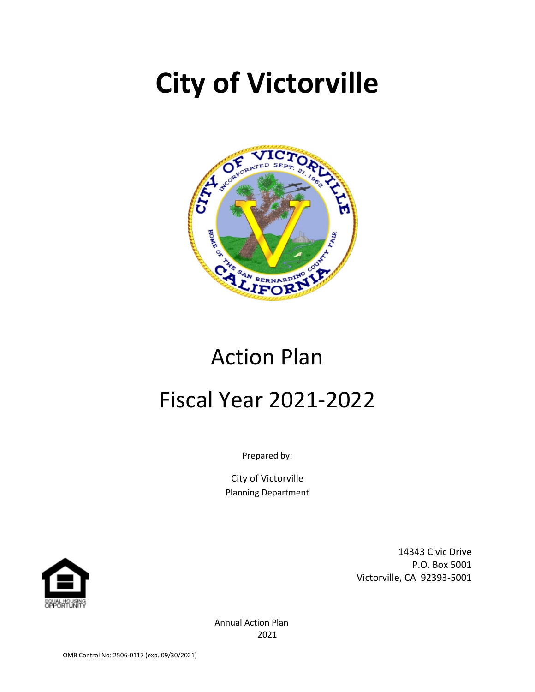# **City of Victorville**



# Action Plan Fiscal Year 2021-2022

Prepared by:

City of Victorville Planning Department



14343 Civic Drive P.O. Box 5001 Victorville, CA 92393-5001

Annual Action Plan 2021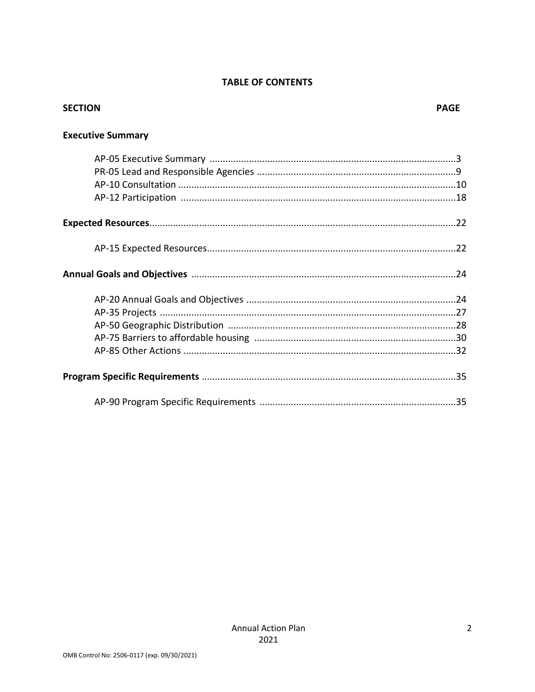#### **TABLE OF CONTENTS**

| <b>SECTION</b>           | <b>PAGE</b> |
|--------------------------|-------------|
| <b>Executive Summary</b> |             |
|                          |             |
|                          |             |
|                          |             |
|                          |             |
|                          |             |
|                          |             |
|                          |             |
|                          |             |
|                          |             |
|                          |             |
|                          |             |
|                          |             |
|                          |             |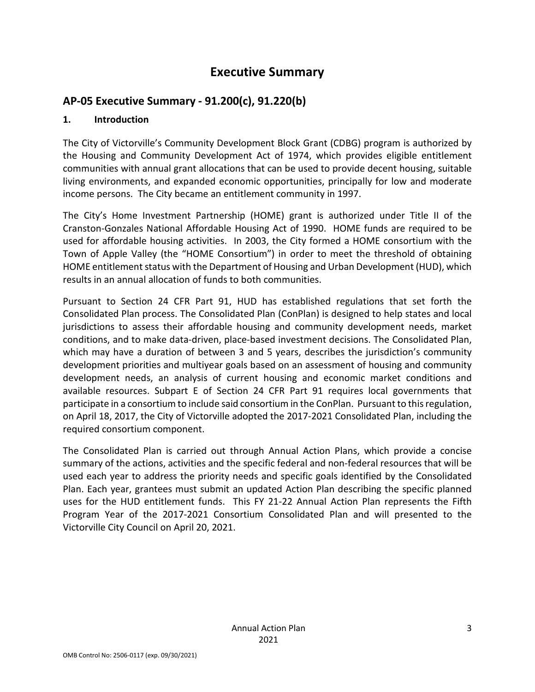## **Executive Summary**

## **AP-05 Executive Summary - 91.200(c), 91.220(b)**

#### **1. Introduction**

The City of Victorville's Community Development Block Grant (CDBG) program is authorized by the Housing and Community Development Act of 1974, which provides eligible entitlement communities with annual grant allocations that can be used to provide decent housing, suitable living environments, and expanded economic opportunities, principally for low and moderate income persons. The City became an entitlement community in 1997.

The City's Home Investment Partnership (HOME) grant is authorized under Title II of the Cranston-Gonzales National Affordable Housing Act of 1990. HOME funds are required to be used for affordable housing activities. In 2003, the City formed a HOME consortium with the Town of Apple Valley (the "HOME Consortium") in order to meet the threshold of obtaining HOME entitlement status with the Department of Housing and Urban Development (HUD), which results in an annual allocation of funds to both communities.

Pursuant to Section 24 CFR Part 91, HUD has established regulations that set forth the Consolidated Plan process. The Consolidated Plan (ConPlan) is designed to help states and local jurisdictions to assess their affordable housing and community development needs, market conditions, and to make data-driven, place-based investment decisions. The Consolidated Plan, which may have a duration of between 3 and 5 years, describes the jurisdiction's community development priorities and multiyear goals based on an assessment of housing and community development needs, an analysis of current housing and economic market conditions and available resources. Subpart E of Section 24 CFR Part 91 requires local governments that participate in a consortium to include said consortium in the ConPlan. Pursuant to this regulation, on April 18, 2017, the City of Victorville adopted the 2017-2021 Consolidated Plan, including the required consortium component.

The Consolidated Plan is carried out through Annual Action Plans, which provide a concise summary of the actions, activities and the specific federal and non-federal resources that will be used each year to address the priority needs and specific goals identified by the Consolidated Plan. Each year, grantees must submit an updated Action Plan describing the specific planned uses for the HUD entitlement funds. This FY 21-22 Annual Action Plan represents the Fifth Program Year of the 2017-2021 Consortium Consolidated Plan and will presented to the Victorville City Council on April 20, 2021.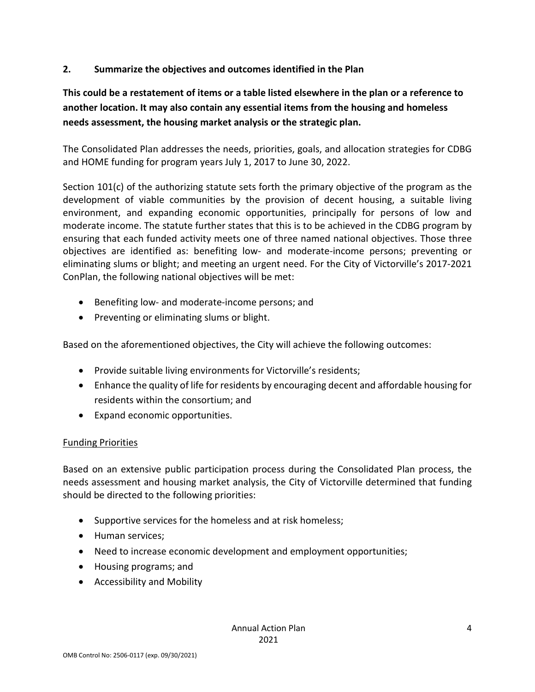#### **2. Summarize the objectives and outcomes identified in the Plan**

## **This could be a restatement of items or a table listed elsewhere in the plan or a reference to another location. It may also contain any essential items from the housing and homeless needs assessment, the housing market analysis or the strategic plan.**

The Consolidated Plan addresses the needs, priorities, goals, and allocation strategies for CDBG and HOME funding for program years July 1, 2017 to June 30, 2022.

Section 101(c) of the authorizing statute sets forth the primary objective of the program as the development of viable communities by the provision of decent housing, a suitable living environment, and expanding economic opportunities, principally for persons of low and moderate income. The statute further states that this is to be achieved in the CDBG program by ensuring that each funded activity meets one of three named national objectives. Those three objectives are identified as: benefiting low- and moderate-income persons; preventing or eliminating slums or blight; and meeting an urgent need. For the City of Victorville's 2017-2021 ConPlan, the following national objectives will be met:

- Benefiting low- and moderate-income persons; and
- Preventing or eliminating slums or blight.

Based on the aforementioned objectives, the City will achieve the following outcomes:

- Provide suitable living environments for Victorville's residents;
- Enhance the quality of life for residents by encouraging decent and affordable housing for residents within the consortium; and
- Expand economic opportunities.

#### Funding Priorities

Based on an extensive public participation process during the Consolidated Plan process, the needs assessment and housing market analysis, the City of Victorville determined that funding should be directed to the following priorities:

- Supportive services for the homeless and at risk homeless;
- Human services;
- Need to increase economic development and employment opportunities;
- Housing programs; and
- Accessibility and Mobility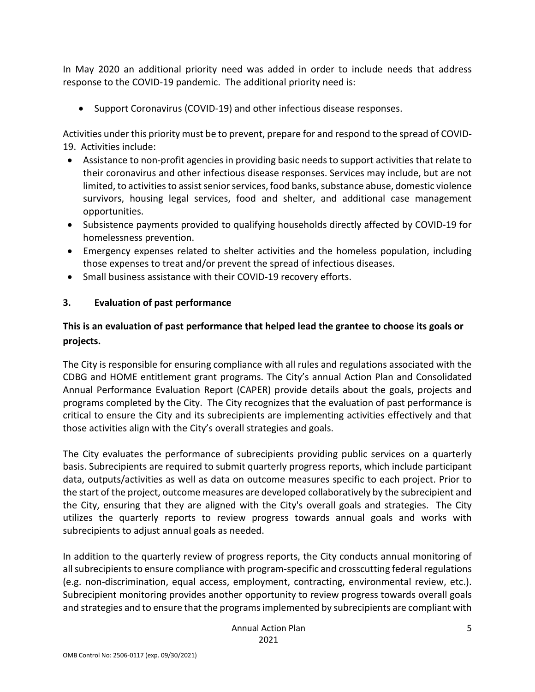In May 2020 an additional priority need was added in order to include needs that address response to the COVID-19 pandemic. The additional priority need is:

• Support Coronavirus (COVID-19) and other infectious disease responses.

Activities under this priority must be to prevent, prepare for and respond to the spread of COVID-19. Activities include:

- Assistance to non-profit agencies in providing basic needs to support activities that relate to their coronavirus and other infectious disease responses. Services may include, but are not limited, to activities to assist senior services, food banks, substance abuse, domestic violence survivors, housing legal services, food and shelter, and additional case management opportunities.
- Subsistence payments provided to qualifying households directly affected by COVID-19 for homelessness prevention.
- Emergency expenses related to shelter activities and the homeless population, including those expenses to treat and/or prevent the spread of infectious diseases.
- Small business assistance with their COVID-19 recovery efforts.

#### **3. Evaluation of past performance**

## **This is an evaluation of past performance that helped lead the grantee to choose its goals or projects.**

The City is responsible for ensuring compliance with all rules and regulations associated with the CDBG and HOME entitlement grant programs. The City's annual Action Plan and Consolidated Annual Performance Evaluation Report (CAPER) provide details about the goals, projects and programs completed by the City. The City recognizes that the evaluation of past performance is critical to ensure the City and its subrecipients are implementing activities effectively and that those activities align with the City's overall strategies and goals.

The City evaluates the performance of subrecipients providing public services on a quarterly basis. Subrecipients are required to submit quarterly progress reports, which include participant data, outputs/activities as well as data on outcome measures specific to each project. Prior to the start of the project, outcome measures are developed collaboratively by the subrecipient and the City, ensuring that they are aligned with the City's overall goals and strategies. The City utilizes the quarterly reports to review progress towards annual goals and works with subrecipients to adjust annual goals as needed.

In addition to the quarterly review of progress reports, the City conducts annual monitoring of all subrecipients to ensure compliance with program-specific and crosscutting federal regulations (e.g. non-discrimination, equal access, employment, contracting, environmental review, etc.). Subrecipient monitoring provides another opportunity to review progress towards overall goals and strategies and to ensure that the programs implemented by subrecipients are compliant with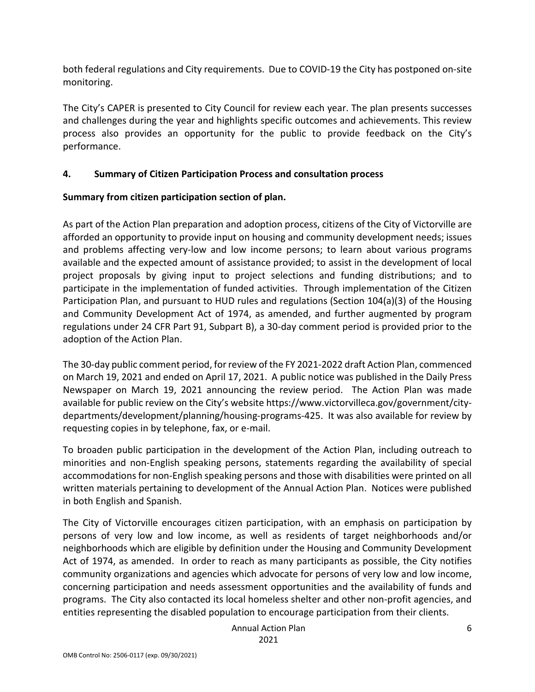both federal regulations and City requirements. Due to COVID-19 the City has postponed on-site monitoring.

The City's CAPER is presented to City Council for review each year. The plan presents successes and challenges during the year and highlights specific outcomes and achievements. This review process also provides an opportunity for the public to provide feedback on the City's performance.

#### **4. Summary of Citizen Participation Process and consultation process**

## **Summary from citizen participation section of plan.**

As part of the Action Plan preparation and adoption process, citizens of the City of Victorville are afforded an opportunity to provide input on housing and community development needs; issues and problems affecting very-low and low income persons; to learn about various programs available and the expected amount of assistance provided; to assist in the development of local project proposals by giving input to project selections and funding distributions; and to participate in the implementation of funded activities. Through implementation of the Citizen Participation Plan, and pursuant to HUD rules and regulations (Section 104(a)(3) of the Housing and Community Development Act of 1974, as amended, and further augmented by program regulations under 24 CFR Part 91, Subpart B), a 30-day comment period is provided prior to the adoption of the Action Plan.

The 30-day public comment period, for review of the FY 2021-2022 draft Action Plan, commenced on March 19, 2021 and ended on April 17, 2021. A public notice was published in the Daily Press Newspaper on March 19, 2021 announcing the review period. The Action Plan was made available for public review on the City's website https://www.victorvilleca.gov/government/citydepartments/development/planning/housing-programs-425. It was also available for review by requesting copies in by telephone, fax, or e-mail.

To broaden public participation in the development of the Action Plan, including outreach to minorities and non-English speaking persons, statements regarding the availability of special accommodations for non-English speaking persons and those with disabilities were printed on all written materials pertaining to development of the Annual Action Plan. Notices were published in both English and Spanish.

The City of Victorville encourages citizen participation, with an emphasis on participation by persons of very low and low income, as well as residents of target neighborhoods and/or neighborhoods which are eligible by definition under the Housing and Community Development Act of 1974, as amended. In order to reach as many participants as possible, the City notifies community organizations and agencies which advocate for persons of very low and low income, concerning participation and needs assessment opportunities and the availability of funds and programs. The City also contacted its local homeless shelter and other non-profit agencies, and entities representing the disabled population to encourage participation from their clients.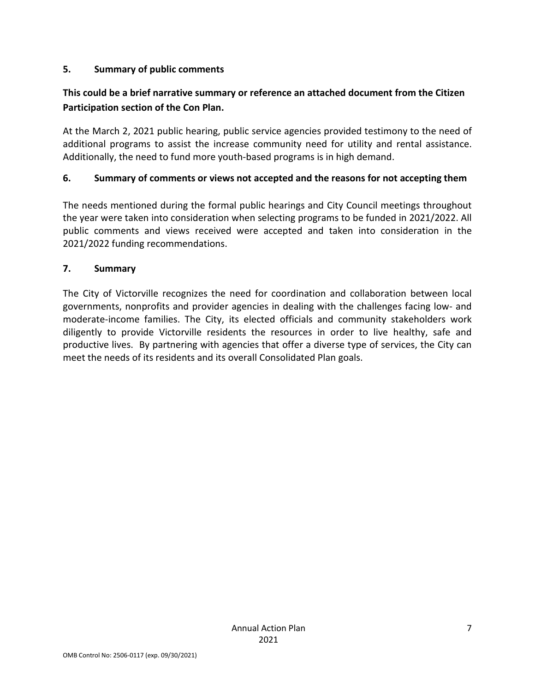#### **5. Summary of public comments**

## **This could be a brief narrative summary or reference an attached document from the Citizen Participation section of the Con Plan.**

At the March 2, 2021 public hearing, public service agencies provided testimony to the need of additional programs to assist the increase community need for utility and rental assistance. Additionally, the need to fund more youth-based programs is in high demand.

#### **6. Summary of comments or views not accepted and the reasons for not accepting them**

The needs mentioned during the formal public hearings and City Council meetings throughout the year were taken into consideration when selecting programs to be funded in 2021/2022. All public comments and views received were accepted and taken into consideration in the 2021/2022 funding recommendations.

#### **7. Summary**

The City of Victorville recognizes the need for coordination and collaboration between local governments, nonprofits and provider agencies in dealing with the challenges facing low- and moderate-income families. The City, its elected officials and community stakeholders work diligently to provide Victorville residents the resources in order to live healthy, safe and productive lives. By partnering with agencies that offer a diverse type of services, the City can meet the needs of its residents and its overall Consolidated Plan goals.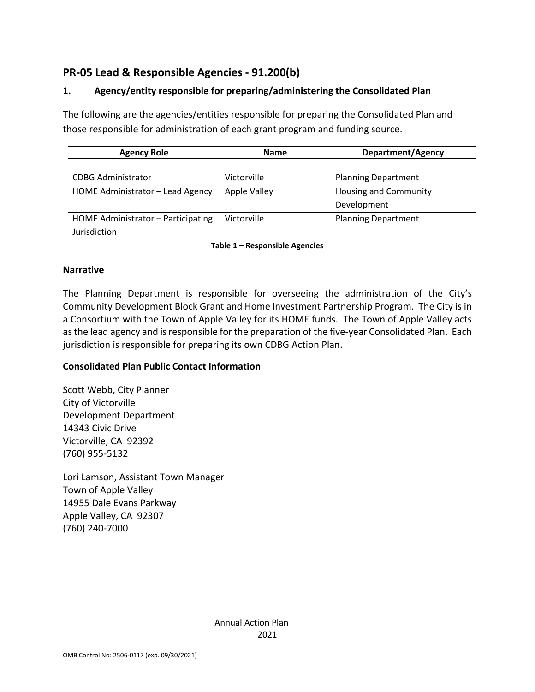## **PR-05 Lead & Responsible Agencies - 91.200(b)**

## **1. Agency/entity responsible for preparing/administering the Consolidated Plan**

The following are the agencies/entities responsible for preparing the Consolidated Plan and those responsible for administration of each grant program and funding source.

| <b>Agency Role</b>                 | <b>Name</b>         | <b>Department/Agency</b>     |
|------------------------------------|---------------------|------------------------------|
|                                    |                     |                              |
| <b>CDBG Administrator</b>          | Victorville         | <b>Planning Department</b>   |
| HOME Administrator - Lead Agency   | <b>Apple Valley</b> | <b>Housing and Community</b> |
|                                    |                     | Development                  |
| HOME Administrator - Participating | Victorville         | <b>Planning Department</b>   |
| Jurisdiction                       |                     |                              |

**Table 1 – Responsible Agencies**

#### **Narrative**

The Planning Department is responsible for overseeing the administration of the City's Community Development Block Grant and Home Investment Partnership Program. The City is in a Consortium with the Town of Apple Valley for its HOME funds. The Town of Apple Valley acts as the lead agency and is responsible for the preparation of the five-year Consolidated Plan. Each jurisdiction is responsible for preparing its own CDBG Action Plan.

#### **Consolidated Plan Public Contact Information**

Scott Webb, City Planner City of Victorville Development Department 14343 Civic Drive Victorville, CA 92392 (760) 955-5132

Lori Lamson, Assistant Town Manager Town of Apple Valley 14955 Dale Evans Parkway Apple Valley, CA 92307 (760) 240-7000

> Annual Action Plan 2021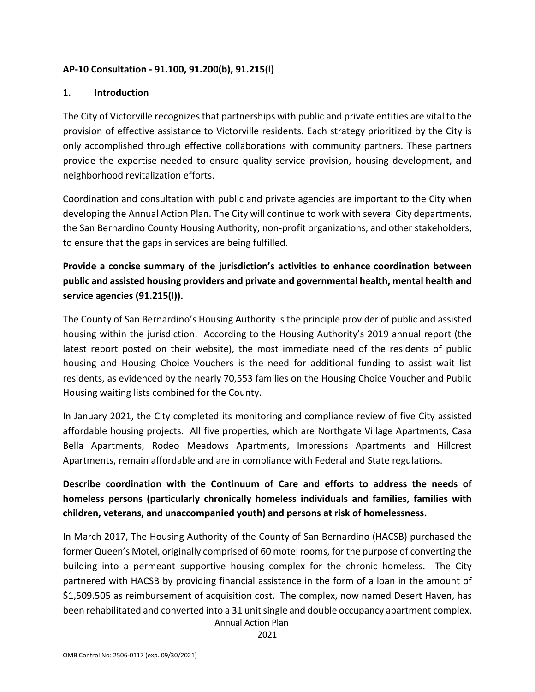#### **AP-10 Consultation - 91.100, 91.200(b), 91.215(l)**

#### **1. Introduction**

The City of Victorville recognizes that partnerships with public and private entities are vital to the provision of effective assistance to Victorville residents. Each strategy prioritized by the City is only accomplished through effective collaborations with community partners. These partners provide the expertise needed to ensure quality service provision, housing development, and neighborhood revitalization efforts.

Coordination and consultation with public and private agencies are important to the City when developing the Annual Action Plan. The City will continue to work with several City departments, the San Bernardino County Housing Authority, non-profit organizations, and other stakeholders, to ensure that the gaps in services are being fulfilled.

## **Provide a concise summary of the jurisdiction's activities to enhance coordination between public and assisted housing providers and private and governmental health, mental health and service agencies (91.215(l)).**

The County of San Bernardino's Housing Authority is the principle provider of public and assisted housing within the jurisdiction. According to the Housing Authority's 2019 annual report (the latest report posted on their website), the most immediate need of the residents of public housing and Housing Choice Vouchers is the need for additional funding to assist wait list residents, as evidenced by the nearly 70,553 families on the Housing Choice Voucher and Public Housing waiting lists combined for the County.

In January 2021, the City completed its monitoring and compliance review of five City assisted affordable housing projects. All five properties, which are Northgate Village Apartments, Casa Bella Apartments, Rodeo Meadows Apartments, Impressions Apartments and Hillcrest Apartments, remain affordable and are in compliance with Federal and State regulations.

## **Describe coordination with the Continuum of Care and efforts to address the needs of homeless persons (particularly chronically homeless individuals and families, families with children, veterans, and unaccompanied youth) and persons at risk of homelessness.**

In March 2017, The Housing Authority of the County of San Bernardino (HACSB) purchased the former Queen's Motel, originally comprised of 60 motel rooms, for the purpose of converting the building into a permeant supportive housing complex for the chronic homeless. The City partnered with HACSB by providing financial assistance in the form of a loan in the amount of \$1,509.505 as reimbursement of acquisition cost. The complex, now named Desert Haven, has been rehabilitated and converted into a 31 unit single and double occupancy apartment complex.

Annual Action Plan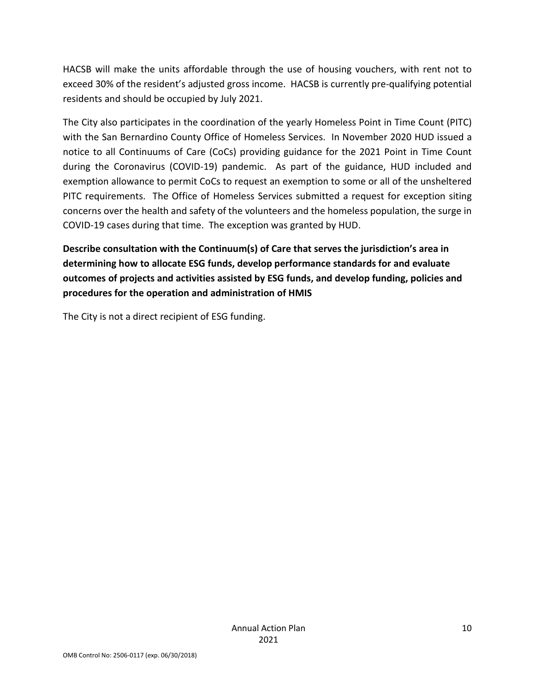HACSB will make the units affordable through the use of housing vouchers, with rent not to exceed 30% of the resident's adjusted gross income. HACSB is currently pre-qualifying potential residents and should be occupied by July 2021.

The City also participates in the coordination of the yearly Homeless Point in Time Count (PITC) with the San Bernardino County Office of Homeless Services. In November 2020 HUD issued a notice to all Continuums of Care (CoCs) providing guidance for the 2021 Point in Time Count during the Coronavirus (COVID-19) pandemic. As part of the guidance, HUD included and exemption allowance to permit CoCs to request an exemption to some or all of the unsheltered PITC requirements. The Office of Homeless Services submitted a request for exception siting concerns over the health and safety of the volunteers and the homeless population, the surge in COVID-19 cases during that time. The exception was granted by HUD.

**Describe consultation with the Continuum(s) of Care that serves the jurisdiction's area in determining how to allocate ESG funds, develop performance standards for and evaluate outcomes of projects and activities assisted by ESG funds, and develop funding, policies and procedures for the operation and administration of HMIS**

The City is not a direct recipient of ESG funding.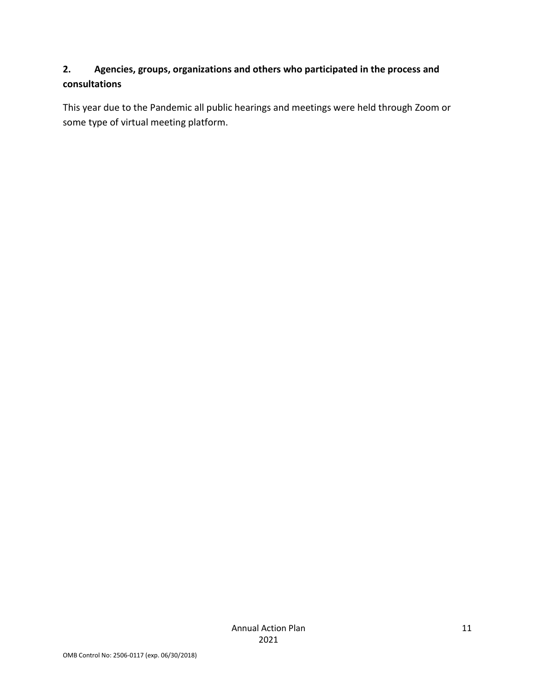## **2. Agencies, groups, organizations and others who participated in the process and consultations**

This year due to the Pandemic all public hearings and meetings were held through Zoom or some type of virtual meeting platform.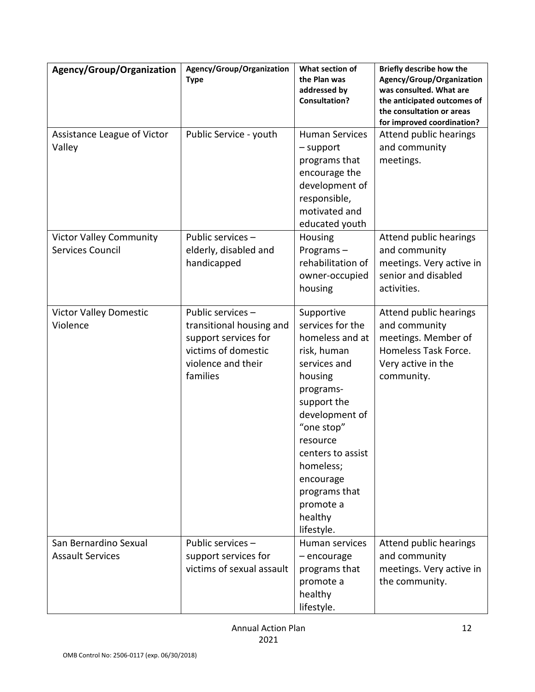| Agency/Group/Organization                          | Agency/Group/Organization<br><b>Type</b>                                                                                       | What section of<br>the Plan was<br>addressed by<br><b>Consultation?</b>                                                                                                                                                                                                   | Briefly describe how the<br>Agency/Group/Organization<br>was consulted. What are<br>the anticipated outcomes of<br>the consultation or areas<br>for improved coordination? |
|----------------------------------------------------|--------------------------------------------------------------------------------------------------------------------------------|---------------------------------------------------------------------------------------------------------------------------------------------------------------------------------------------------------------------------------------------------------------------------|----------------------------------------------------------------------------------------------------------------------------------------------------------------------------|
| Assistance League of Victor<br>Valley              | Public Service - youth                                                                                                         | <b>Human Services</b><br>$-$ support<br>programs that<br>encourage the<br>development of<br>responsible,<br>motivated and<br>educated youth                                                                                                                               | Attend public hearings<br>and community<br>meetings.                                                                                                                       |
| <b>Victor Valley Community</b><br>Services Council | Public services -<br>elderly, disabled and<br>handicapped                                                                      | Housing<br>Programs-<br>rehabilitation of<br>owner-occupied<br>housing                                                                                                                                                                                                    | Attend public hearings<br>and community<br>meetings. Very active in<br>senior and disabled<br>activities.                                                                  |
| <b>Victor Valley Domestic</b><br>Violence          | Public services -<br>transitional housing and<br>support services for<br>victims of domestic<br>violence and their<br>families | Supportive<br>services for the<br>homeless and at<br>risk, human<br>services and<br>housing<br>programs-<br>support the<br>development of<br>"one stop"<br>resource<br>centers to assist<br>homeless;<br>encourage<br>programs that<br>promote a<br>healthy<br>lifestyle. | Attend public hearings<br>and community<br>meetings. Member of<br>Homeless Task Force.<br>Very active in the<br>community.                                                 |
| San Bernardino Sexual<br><b>Assault Services</b>   | Public services -<br>support services for<br>victims of sexual assault                                                         | Human services<br>- encourage<br>programs that<br>promote a<br>healthy<br>lifestyle.                                                                                                                                                                                      | Attend public hearings<br>and community<br>meetings. Very active in<br>the community.                                                                                      |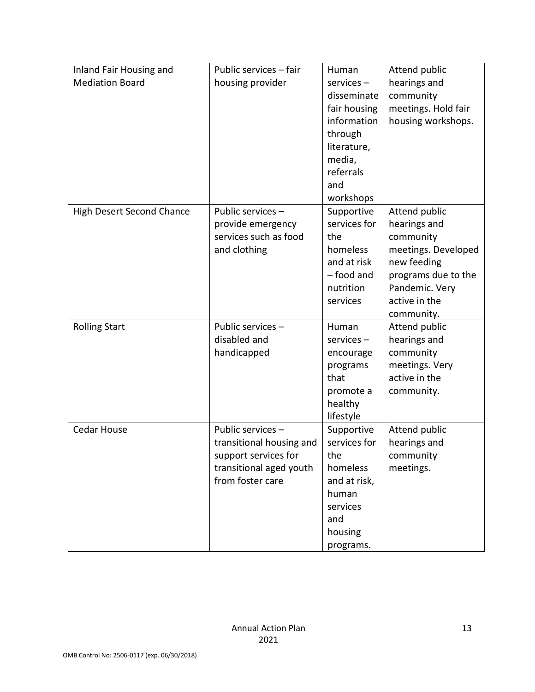| Inland Fair Housing and          | Public services - fair   | Human           | Attend public       |
|----------------------------------|--------------------------|-----------------|---------------------|
| <b>Mediation Board</b>           | housing provider         | $s$ ervices $-$ | hearings and        |
|                                  |                          | disseminate     | community           |
|                                  |                          | fair housing    | meetings. Hold fair |
|                                  |                          | information     | housing workshops.  |
|                                  |                          | through         |                     |
|                                  |                          | literature,     |                     |
|                                  |                          | media,          |                     |
|                                  |                          | referrals       |                     |
|                                  |                          | and             |                     |
|                                  |                          | workshops       |                     |
| <b>High Desert Second Chance</b> | Public services -        | Supportive      | Attend public       |
|                                  | provide emergency        | services for    | hearings and        |
|                                  | services such as food    | the             | community           |
|                                  | and clothing             | homeless        | meetings. Developed |
|                                  |                          | and at risk     | new feeding         |
|                                  |                          | - food and      | programs due to the |
|                                  |                          | nutrition       | Pandemic. Very      |
|                                  |                          | services        | active in the       |
|                                  |                          |                 | community.          |
| <b>Rolling Start</b>             | Public services -        | Human           | Attend public       |
|                                  | disabled and             | $s$ ervices $-$ | hearings and        |
|                                  | handicapped              | encourage       | community           |
|                                  |                          | programs        | meetings. Very      |
|                                  |                          | that            | active in the       |
|                                  |                          | promote a       | community.          |
|                                  |                          | healthy         |                     |
|                                  |                          | lifestyle       |                     |
| <b>Cedar House</b>               | Public services -        | Supportive      | Attend public       |
|                                  | transitional housing and | services for    | hearings and        |
|                                  | support services for     | the             | community           |
|                                  | transitional aged youth  | homeless        | meetings.           |
|                                  | from foster care         | and at risk,    |                     |
|                                  |                          | human           |                     |
|                                  |                          | services        |                     |
|                                  |                          | and             |                     |
|                                  |                          | housing         |                     |
|                                  |                          | programs.       |                     |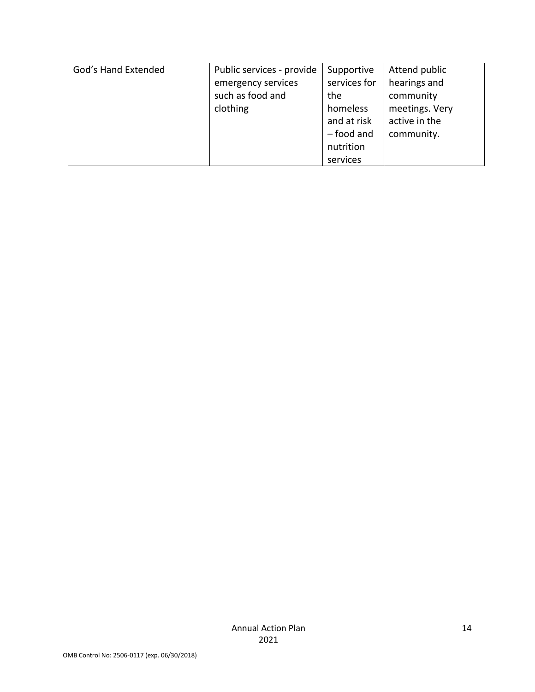| God's Hand Extended | Public services - provide | Supportive   | Attend public  |
|---------------------|---------------------------|--------------|----------------|
|                     | emergency services        | services for | hearings and   |
|                     | such as food and          | the          | community      |
|                     | clothing                  | homeless     | meetings. Very |
|                     |                           | and at risk  | active in the  |
|                     |                           | $-$ food and | community.     |
|                     |                           | nutrition    |                |
|                     |                           | services     |                |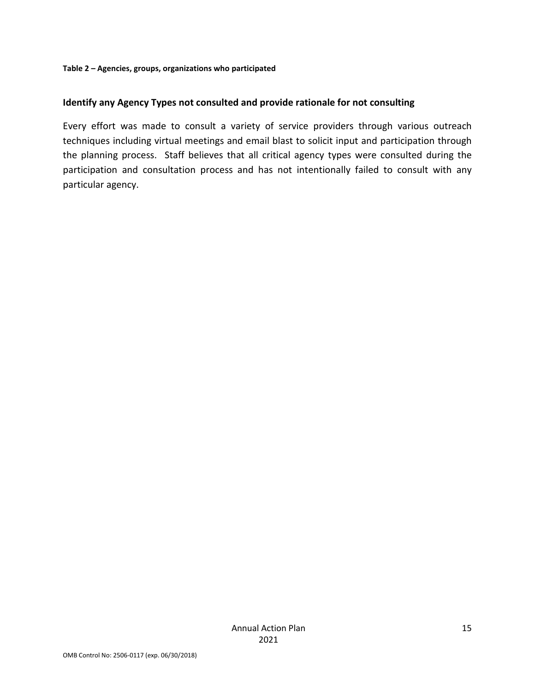#### **Identify any Agency Types not consulted and provide rationale for not consulting**

Every effort was made to consult a variety of service providers through various outreach techniques including virtual meetings and email blast to solicit input and participation through the planning process. Staff believes that all critical agency types were consulted during the participation and consultation process and has not intentionally failed to consult with any particular agency.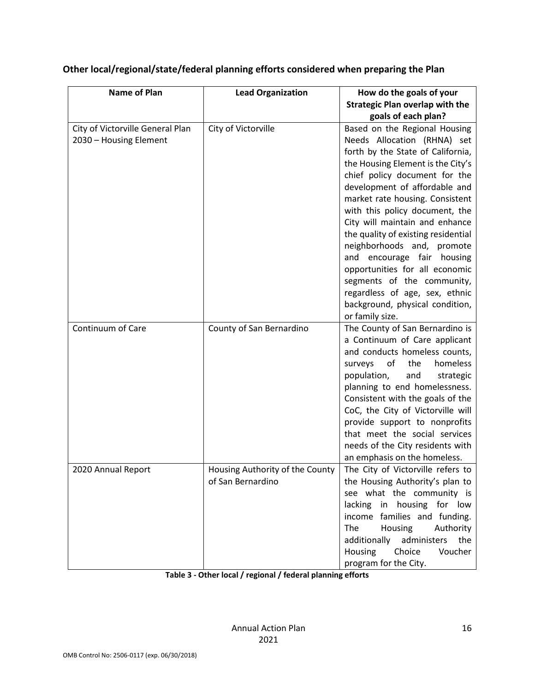| Name of Plan                                               | <b>Lead Organization</b>                             | How do the goals of your<br><b>Strategic Plan overlap with the</b><br>goals of each plan?                                                                                                                                                                                                                                                                                                                                                                                                                                                                                  |
|------------------------------------------------------------|------------------------------------------------------|----------------------------------------------------------------------------------------------------------------------------------------------------------------------------------------------------------------------------------------------------------------------------------------------------------------------------------------------------------------------------------------------------------------------------------------------------------------------------------------------------------------------------------------------------------------------------|
| City of Victorville General Plan<br>2030 - Housing Element | City of Victorville                                  | Based on the Regional Housing<br>Needs Allocation (RHNA) set<br>forth by the State of California,<br>the Housing Element is the City's<br>chief policy document for the<br>development of affordable and<br>market rate housing. Consistent<br>with this policy document, the<br>City will maintain and enhance<br>the quality of existing residential<br>neighborhoods and, promote<br>and encourage fair housing<br>opportunities for all economic<br>segments of the community,<br>regardless of age, sex, ethnic<br>background, physical condition,<br>or family size. |
| Continuum of Care                                          | County of San Bernardino                             | The County of San Bernardino is<br>a Continuum of Care applicant<br>and conducts homeless counts,<br>of<br>homeless<br>surveys<br>the<br>population,<br>and<br>strategic<br>planning to end homelessness.<br>Consistent with the goals of the<br>CoC, the City of Victorville will<br>provide support to nonprofits<br>that meet the social services<br>needs of the City residents with<br>an emphasis on the homeless.                                                                                                                                                   |
| 2020 Annual Report                                         | Housing Authority of the County<br>of San Bernardino | The City of Victorville refers to<br>the Housing Authority's plan to<br>see what the community is<br>lacking in housing for low<br>income families and funding.<br>Housing<br>The<br>Authority<br>additionally<br>administers<br>the<br>Housing<br>Choice<br>Voucher<br>program for the City.                                                                                                                                                                                                                                                                              |

## **Other local/regional/state/federal planning efforts considered when preparing the Plan**

**Table 3 - Other local / regional / federal planning efforts**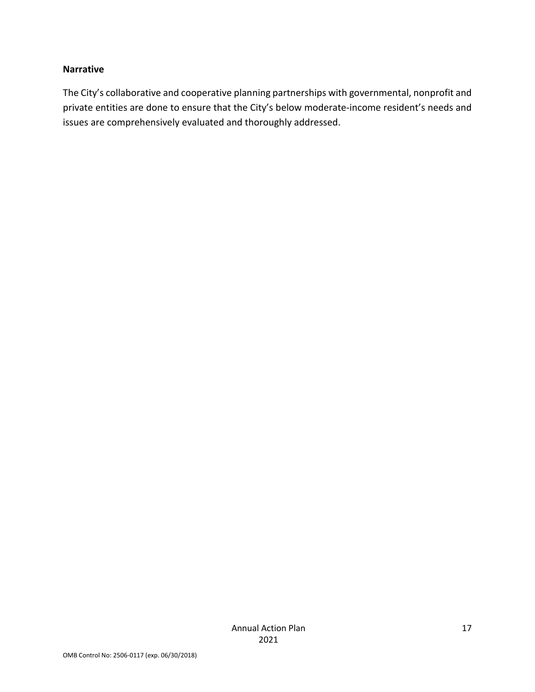#### **Narrative**

The City's collaborative and cooperative planning partnerships with governmental, nonprofit and private entities are done to ensure that the City's below moderate-income resident's needs and issues are comprehensively evaluated and thoroughly addressed.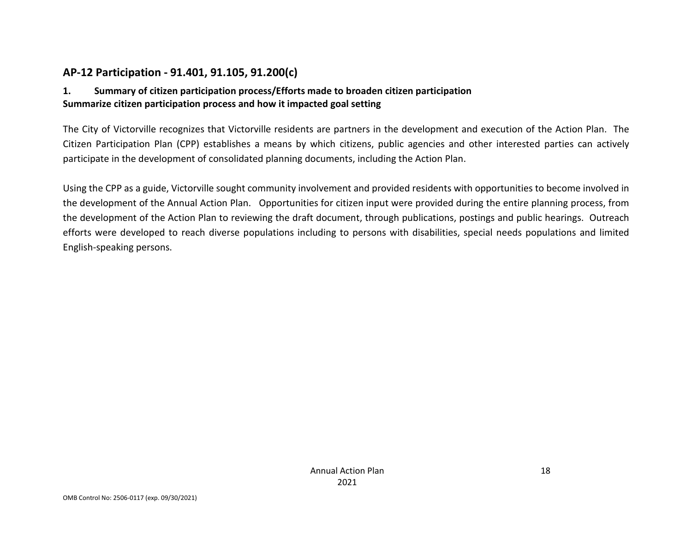## **AP-12 Participation - 91.401, 91.105, 91.200(c)**

#### **1. Summary of citizen participation process/Efforts made to broaden citizen participation Summarize citizen participation process and how it impacted goal setting**

The City of Victorville recognizes that Victorville residents are partners in the development and execution of the Action Plan. The Citizen Participation Plan (CPP) establishes a means by which citizens, public agencies and other interested parties can actively participate in the development of consolidated planning documents, including the Action Plan.

Using the CPP as a guide, Victorville sought community involvement and provided residents with opportunities to become involved in the development of the Annual Action Plan. Opportunities for citizen input were provided during the entire planning process, from the development of the Action Plan to reviewing the draft document, through publications, postings and public hearings. Outreach efforts were developed to reach diverse populations including to persons with disabilities, special needs populations and limited English-speaking persons.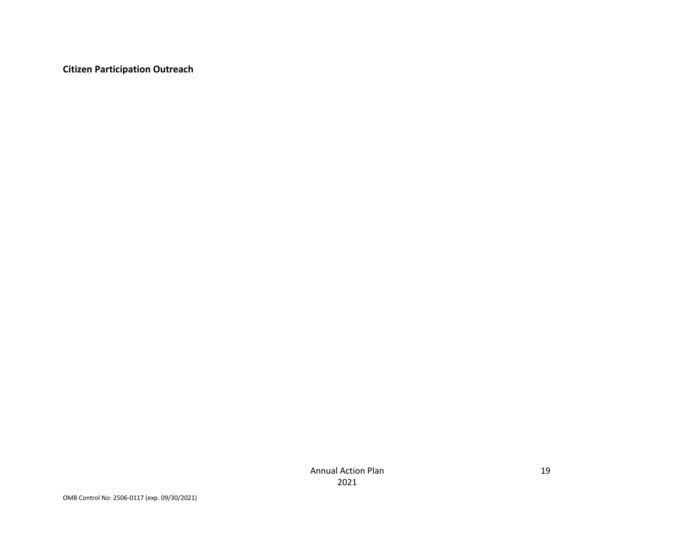**Citizen Participation Outreach**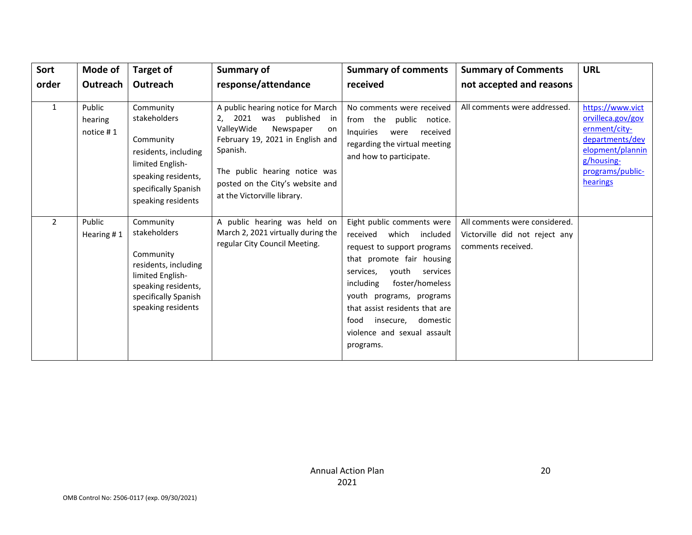| Sort         | Mode of                        | <b>Target of</b>                                                                                                                                        | <b>Summary of</b>                                                                                                                                                                                                                                  | <b>Summary of comments</b>                                                                                                                                                                                                                                                                                                     | <b>Summary of Comments</b>                                                            | <b>URL</b>                                                                                                                                  |
|--------------|--------------------------------|---------------------------------------------------------------------------------------------------------------------------------------------------------|----------------------------------------------------------------------------------------------------------------------------------------------------------------------------------------------------------------------------------------------------|--------------------------------------------------------------------------------------------------------------------------------------------------------------------------------------------------------------------------------------------------------------------------------------------------------------------------------|---------------------------------------------------------------------------------------|---------------------------------------------------------------------------------------------------------------------------------------------|
| order        | Outreach                       | Outreach                                                                                                                                                | response/attendance                                                                                                                                                                                                                                | received                                                                                                                                                                                                                                                                                                                       | not accepted and reasons                                                              |                                                                                                                                             |
| $\mathbf{1}$ | Public<br>hearing<br>notice #1 | Community<br>stakeholders<br>Community<br>residents, including<br>limited English-<br>speaking residents,<br>specifically Spanish<br>speaking residents | A public hearing notice for March<br>2021 was published<br>in<br>ValleyWide<br>Newspaper<br>on<br>February 19, 2021 in English and<br>Spanish.<br>The public hearing notice was<br>posted on the City's website and<br>at the Victorville library. | No comments were received<br>from the<br>public notice.<br>Inquiries<br>received<br>were<br>regarding the virtual meeting<br>and how to participate.                                                                                                                                                                           | All comments were addressed.                                                          | https://www.vict<br>orvilleca.gov/gov<br>ernment/city-<br>departments/dev<br>elopment/plannin<br>g/housing-<br>programs/public-<br>hearings |
| 2            | Public<br>Hearing #1           | Community<br>stakeholders<br>Community<br>residents, including<br>limited English-<br>speaking residents,<br>specifically Spanish<br>speaking residents | A public hearing was held on<br>March 2, 2021 virtually during the<br>regular City Council Meeting.                                                                                                                                                | Eight public comments were<br>received which<br>included<br>request to support programs<br>that promote fair housing<br>youth<br>services,<br>services<br>foster/homeless<br>including<br>youth programs, programs<br>that assist residents that are<br>insecure, domestic<br>food<br>violence and sexual assault<br>programs. | All comments were considered.<br>Victorville did not reject any<br>comments received. |                                                                                                                                             |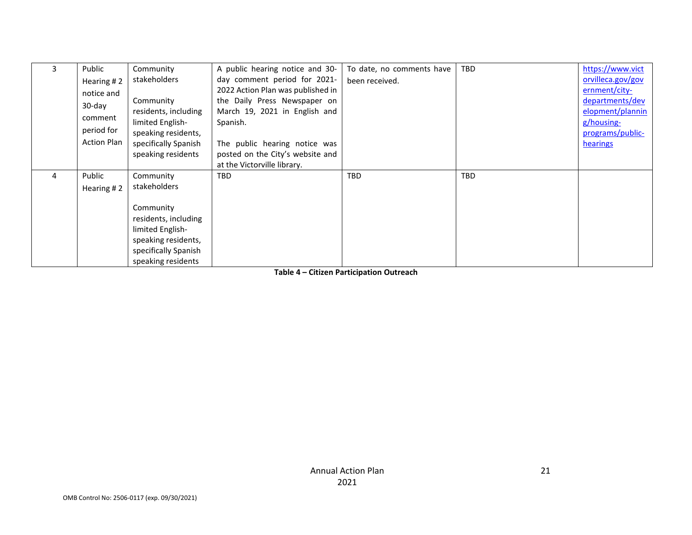|   | Public             | Community            | A public hearing notice and 30-   | To date, no comments have | <b>TBD</b> | https://www.vict  |
|---|--------------------|----------------------|-----------------------------------|---------------------------|------------|-------------------|
|   | Hearing #2         | stakeholders         | day comment period for 2021-      | been received.            |            | orvilleca.gov/gov |
|   | notice and         |                      | 2022 Action Plan was published in |                           |            | ernment/city-     |
|   | $30$ -day          | Community            | the Daily Press Newspaper on      |                           |            | departments/dev   |
|   | comment            | residents, including | March 19, 2021 in English and     |                           |            | elopment/plannin  |
|   |                    | limited English-     | Spanish.                          |                           |            | g/housing-        |
|   | period for         | speaking residents,  |                                   |                           |            | programs/public-  |
|   | <b>Action Plan</b> | specifically Spanish | The public hearing notice was     |                           |            | hearings          |
|   |                    | speaking residents   | posted on the City's website and  |                           |            |                   |
|   |                    |                      | at the Victorville library.       |                           |            |                   |
| 4 | Public             | Community            | <b>TBD</b>                        | <b>TBD</b>                | <b>TBD</b> |                   |
|   | Hearing #2         | stakeholders         |                                   |                           |            |                   |
|   |                    |                      |                                   |                           |            |                   |
|   |                    | Community            |                                   |                           |            |                   |
|   |                    | residents, including |                                   |                           |            |                   |
|   |                    | limited English-     |                                   |                           |            |                   |
|   |                    | speaking residents,  |                                   |                           |            |                   |
|   |                    | specifically Spanish |                                   |                           |            |                   |
|   |                    | speaking residents   |                                   |                           |            |                   |

**Table 4 – Citizen Participation Outreach**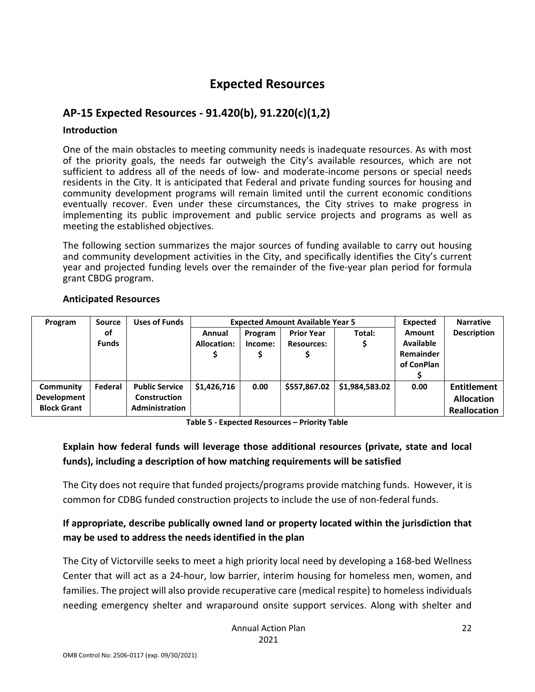## **Expected Resources**

## **AP-15 Expected Resources - 91.420(b), 91.220(c)(1,2)**

#### **Introduction**

One of the main obstacles to meeting community needs is inadequate resources. As with most of the priority goals, the needs far outweigh the City's available resources, which are not sufficient to address all of the needs of low- and moderate-income persons or special needs residents in the City. It is anticipated that Federal and private funding sources for housing and community development programs will remain limited until the current economic conditions eventually recover. Even under these circumstances, the City strives to make progress in implementing its public improvement and public service projects and programs as well as meeting the established objectives.

The following section summarizes the major sources of funding available to carry out housing and community development activities in the City, and specifically identifies the City's current year and projected funding levels over the remainder of the five-year plan period for formula grant CBDG program.

| Program            | Source       | <b>Uses of Funds</b>  |             | <b>Expected Amount Available Year 5</b> |                   |                |                  | <b>Narrative</b>    |
|--------------------|--------------|-----------------------|-------------|-----------------------------------------|-------------------|----------------|------------------|---------------------|
|                    | оf           |                       | Annual      | Program                                 | <b>Prior Year</b> | Total:         | <b>Amount</b>    | <b>Description</b>  |
|                    | <b>Funds</b> |                       | Allocation: | Income:                                 | <b>Resources:</b> |                | <b>Available</b> |                     |
|                    |              |                       |             |                                         |                   |                | <b>Remainder</b> |                     |
|                    |              |                       |             |                                         |                   |                | of ConPlan       |                     |
|                    |              |                       |             |                                         |                   |                |                  |                     |
| Community          | Federal      | <b>Public Service</b> | \$1,426,716 | 0.00                                    | \$557,867.02      | \$1,984,583.02 | 0.00             | <b>Entitlement</b>  |
| Development        |              | <b>Construction</b>   |             |                                         |                   |                |                  | <b>Allocation</b>   |
| <b>Block Grant</b> |              | <b>Administration</b> |             |                                         |                   |                |                  | <b>Reallocation</b> |

#### **Anticipated Resources**

**Table 5 - Expected Resources – Priority Table**

## **Explain how federal funds will leverage those additional resources (private, state and local funds), including a description of how matching requirements will be satisfied**

The City does not require that funded projects/programs provide matching funds. However, it is common for CDBG funded construction projects to include the use of non-federal funds.

## **If appropriate, describe publically owned land or property located within the jurisdiction that may be used to address the needs identified in the plan**

The City of Victorville seeks to meet a high priority local need by developing a 168-bed Wellness Center that will act as a 24-hour, low barrier, interim housing for homeless men, women, and families. The project will also provide recuperative care (medical respite) to homeless individuals needing emergency shelter and wraparound onsite support services. Along with shelter and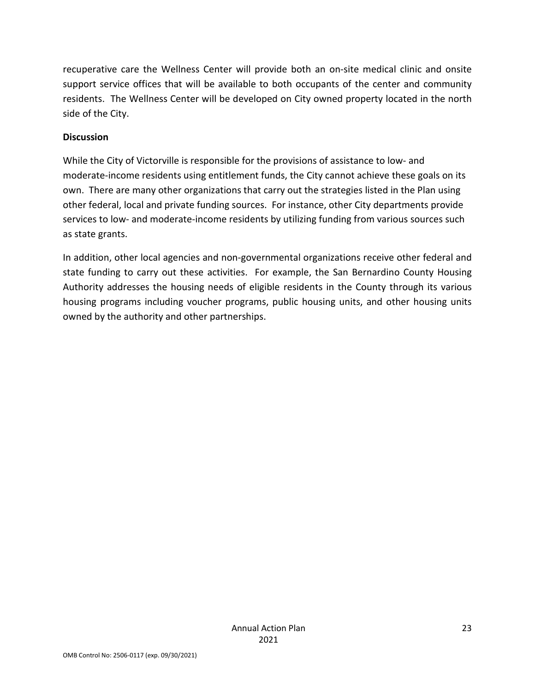recuperative care the Wellness Center will provide both an on-site medical clinic and onsite support service offices that will be available to both occupants of the center and community residents. The Wellness Center will be developed on City owned property located in the north side of the City.

#### **Discussion**

While the City of Victorville is responsible for the provisions of assistance to low- and moderate-income residents using entitlement funds, the City cannot achieve these goals on its own. There are many other organizations that carry out the strategies listed in the Plan using other federal, local and private funding sources. For instance, other City departments provide services to low- and moderate-income residents by utilizing funding from various sources such as state grants.

In addition, other local agencies and non-governmental organizations receive other federal and state funding to carry out these activities. For example, the San Bernardino County Housing Authority addresses the housing needs of eligible residents in the County through its various housing programs including voucher programs, public housing units, and other housing units owned by the authority and other partnerships.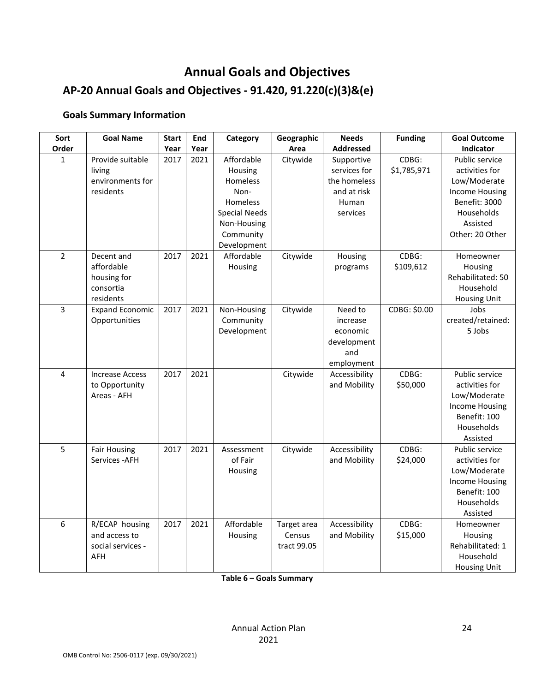# **Annual Goals and Objectives**

# **AP-20 Annual Goals and Objectives - 91.420, 91.220(c)(3)&(e)**

#### **Goals Summary Information**

| Sort           | <b>Goal Name</b>           | <b>Start</b> | End  | Category              | Geographic  | <b>Needs</b>               | <b>Funding</b>       | <b>Goal Outcome</b>              |
|----------------|----------------------------|--------------|------|-----------------------|-------------|----------------------------|----------------------|----------------------------------|
| Order          |                            | Year         | Year |                       | Area        | <b>Addressed</b>           |                      | Indicator                        |
| $\mathbf{1}$   | Provide suitable<br>living | 2017         | 2021 | Affordable<br>Housing | Citywide    | Supportive<br>services for | CDBG:<br>\$1,785,971 | Public service<br>activities for |
|                | environments for           |              |      | Homeless              |             | the homeless               |                      | Low/Moderate                     |
|                | residents                  |              |      | Non-                  |             | and at risk                |                      | <b>Income Housing</b>            |
|                |                            |              |      | Homeless              |             | Human                      |                      | Benefit: 3000                    |
|                |                            |              |      | <b>Special Needs</b>  |             | services                   |                      | Households                       |
|                |                            |              |      | Non-Housing           |             |                            |                      | Assisted                         |
|                |                            |              |      | Community             |             |                            |                      | Other: 20 Other                  |
|                |                            |              |      | Development           |             |                            |                      |                                  |
| $\overline{2}$ | Decent and                 | 2017         | 2021 | Affordable            | Citywide    | Housing                    | CDBG:                | Homeowner                        |
|                | affordable                 |              |      | Housing               |             | programs                   | \$109,612            | Housing                          |
|                | housing for                |              |      |                       |             |                            |                      | Rehabilitated: 50                |
|                | consortia                  |              |      |                       |             |                            |                      | Household                        |
|                | residents                  |              |      |                       |             |                            |                      | <b>Housing Unit</b>              |
| 3              | <b>Expand Economic</b>     | 2017         | 2021 | Non-Housing           | Citywide    | Need to                    | CDBG: \$0.00         | Jobs                             |
|                | Opportunities              |              |      | Community             |             | increase                   |                      | created/retained:                |
|                |                            |              |      | Development           |             | economic                   |                      | 5 Jobs                           |
|                |                            |              |      |                       |             | development                |                      |                                  |
|                |                            |              |      |                       |             | and                        |                      |                                  |
|                |                            |              |      |                       |             | employment                 |                      |                                  |
| $\overline{4}$ | <b>Increase Access</b>     | 2017         | 2021 |                       | Citywide    | Accessibility              | CDBG:                | Public service                   |
|                | to Opportunity             |              |      |                       |             | and Mobility               | \$50,000             | activities for                   |
|                | Areas - AFH                |              |      |                       |             |                            |                      | Low/Moderate                     |
|                |                            |              |      |                       |             |                            |                      | <b>Income Housing</b>            |
|                |                            |              |      |                       |             |                            |                      | Benefit: 100                     |
|                |                            |              |      |                       |             |                            |                      | Households                       |
|                |                            |              |      |                       |             |                            |                      | Assisted                         |
| 5              | <b>Fair Housing</b>        | 2017         | 2021 | Assessment            | Citywide    | Accessibility              | CDBG:                | Public service                   |
|                | Services - AFH             |              |      | of Fair               |             | and Mobility               | \$24,000             | activities for                   |
|                |                            |              |      | Housing               |             |                            |                      | Low/Moderate                     |
|                |                            |              |      |                       |             |                            |                      | <b>Income Housing</b>            |
|                |                            |              |      |                       |             |                            |                      | Benefit: 100                     |
|                |                            |              |      |                       |             |                            |                      | Households                       |
|                |                            |              |      |                       |             |                            |                      | Assisted                         |
| 6              | R/ECAP housing             | 2017         | 2021 | Affordable            | Target area | Accessibility              | CDBG:                | Homeowner                        |
|                | and access to              |              |      | Housing               | Census      | and Mobility               | \$15,000             | Housing                          |
|                | social services -          |              |      |                       | tract 99.05 |                            |                      | Rehabilitated: 1                 |
|                | AFH                        |              |      |                       |             |                            |                      | Household                        |
|                |                            |              |      |                       |             |                            |                      | <b>Housing Unit</b>              |

**Table 6 – Goals Summary**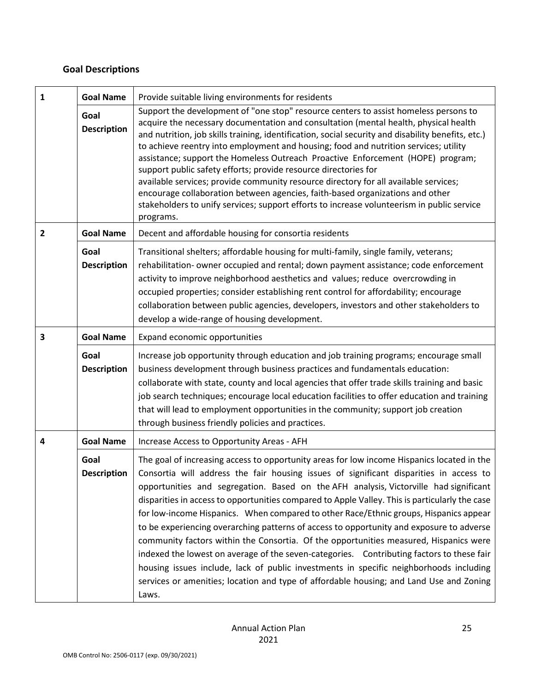## **Goal Descriptions**

| 1 | <b>Goal Name</b>           | Provide suitable living environments for residents                                                                                                                                                                                                                                                                                                                                                                                                                                                                                                                                                                                                                                                                                                                                                                                                                                                                                                       |
|---|----------------------------|----------------------------------------------------------------------------------------------------------------------------------------------------------------------------------------------------------------------------------------------------------------------------------------------------------------------------------------------------------------------------------------------------------------------------------------------------------------------------------------------------------------------------------------------------------------------------------------------------------------------------------------------------------------------------------------------------------------------------------------------------------------------------------------------------------------------------------------------------------------------------------------------------------------------------------------------------------|
|   | Goal<br><b>Description</b> | Support the development of "one stop" resource centers to assist homeless persons to<br>acquire the necessary documentation and consultation (mental health, physical health<br>and nutrition, job skills training, identification, social security and disability benefits, etc.)<br>to achieve reentry into employment and housing; food and nutrition services; utility<br>assistance; support the Homeless Outreach Proactive Enforcement (HOPE) program;<br>support public safety efforts; provide resource directories for<br>available services; provide community resource directory for all available services;<br>encourage collaboration between agencies, faith-based organizations and other<br>stakeholders to unify services; support efforts to increase volunteerism in public service<br>programs.                                                                                                                                     |
| 2 | <b>Goal Name</b>           | Decent and affordable housing for consortia residents                                                                                                                                                                                                                                                                                                                                                                                                                                                                                                                                                                                                                                                                                                                                                                                                                                                                                                    |
|   | Goal<br><b>Description</b> | Transitional shelters; affordable housing for multi-family, single family, veterans;<br>rehabilitation- owner occupied and rental; down payment assistance; code enforcement<br>activity to improve neighborhood aesthetics and values; reduce overcrowding in<br>occupied properties; consider establishing rent control for affordability; encourage<br>collaboration between public agencies, developers, investors and other stakeholders to<br>develop a wide-range of housing development.                                                                                                                                                                                                                                                                                                                                                                                                                                                         |
| 3 | <b>Goal Name</b>           | Expand economic opportunities                                                                                                                                                                                                                                                                                                                                                                                                                                                                                                                                                                                                                                                                                                                                                                                                                                                                                                                            |
|   | Goal<br><b>Description</b> | Increase job opportunity through education and job training programs; encourage small<br>business development through business practices and fundamentals education:<br>collaborate with state, county and local agencies that offer trade skills training and basic<br>job search techniques; encourage local education facilities to offer education and training<br>that will lead to employment opportunities in the community; support job creation<br>through business friendly policies and practices.                                                                                                                                                                                                                                                                                                                                                                                                                                            |
| 4 | <b>Goal Name</b>           | Increase Access to Opportunity Areas - AFH                                                                                                                                                                                                                                                                                                                                                                                                                                                                                                                                                                                                                                                                                                                                                                                                                                                                                                               |
|   | Goal<br><b>Description</b> | The goal of increasing access to opportunity areas for low income Hispanics located in the<br>Consortia will address the fair housing issues of significant disparities in access to<br>opportunities and segregation. Based on the AFH analysis, Victorville had significant<br>disparities in access to opportunities compared to Apple Valley. This is particularly the case<br>for low-income Hispanics. When compared to other Race/Ethnic groups, Hispanics appear<br>to be experiencing overarching patterns of access to opportunity and exposure to adverse<br>community factors within the Consortia. Of the opportunities measured, Hispanics were<br>indexed the lowest on average of the seven-categories. Contributing factors to these fair<br>housing issues include, lack of public investments in specific neighborhoods including<br>services or amenities; location and type of affordable housing; and Land Use and Zoning<br>Laws. |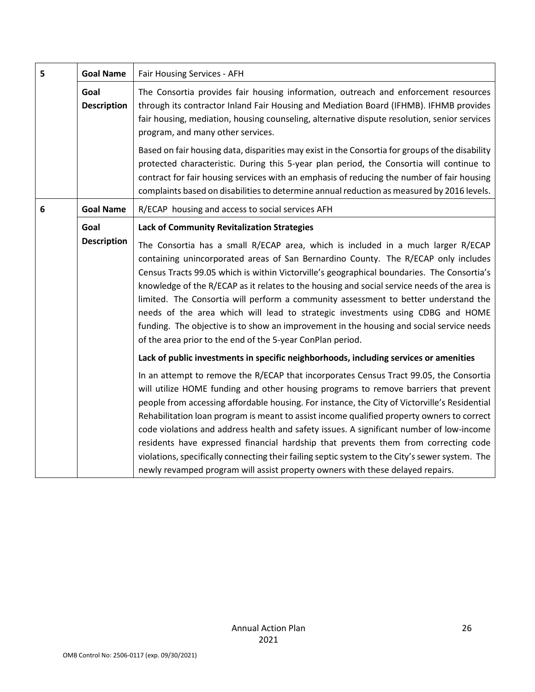| 5 | <b>Goal Name</b>           | Fair Housing Services - AFH                                                                                                                                                                                                                                                                                                                                                                                                                                                                                                                                                                                                                                         |
|---|----------------------------|---------------------------------------------------------------------------------------------------------------------------------------------------------------------------------------------------------------------------------------------------------------------------------------------------------------------------------------------------------------------------------------------------------------------------------------------------------------------------------------------------------------------------------------------------------------------------------------------------------------------------------------------------------------------|
|   | Goal<br><b>Description</b> | The Consortia provides fair housing information, outreach and enforcement resources<br>through its contractor Inland Fair Housing and Mediation Board (IFHMB). IFHMB provides<br>fair housing, mediation, housing counseling, alternative dispute resolution, senior services<br>program, and many other services.                                                                                                                                                                                                                                                                                                                                                  |
|   |                            | Based on fair housing data, disparities may exist in the Consortia for groups of the disability<br>protected characteristic. During this 5-year plan period, the Consortia will continue to<br>contract for fair housing services with an emphasis of reducing the number of fair housing<br>complaints based on disabilities to determine annual reduction as measured by 2016 levels.                                                                                                                                                                                                                                                                             |
| 6 | <b>Goal Name</b>           | R/ECAP housing and access to social services AFH                                                                                                                                                                                                                                                                                                                                                                                                                                                                                                                                                                                                                    |
|   | Goal<br><b>Description</b> | <b>Lack of Community Revitalization Strategies</b><br>The Consortia has a small R/ECAP area, which is included in a much larger R/ECAP                                                                                                                                                                                                                                                                                                                                                                                                                                                                                                                              |
|   |                            | containing unincorporated areas of San Bernardino County. The R/ECAP only includes<br>Census Tracts 99.05 which is within Victorville's geographical boundaries. The Consortia's<br>knowledge of the R/ECAP as it relates to the housing and social service needs of the area is<br>limited. The Consortia will perform a community assessment to better understand the<br>needs of the area which will lead to strategic investments using CDBG and HOME<br>funding. The objective is to show an improvement in the housing and social service needs<br>of the area prior to the end of the 5-year ConPlan period.                                                 |
|   |                            | Lack of public investments in specific neighborhoods, including services or amenities                                                                                                                                                                                                                                                                                                                                                                                                                                                                                                                                                                               |
|   |                            | In an attempt to remove the R/ECAP that incorporates Census Tract 99.05, the Consortia<br>will utilize HOME funding and other housing programs to remove barriers that prevent<br>people from accessing affordable housing. For instance, the City of Victorville's Residential<br>Rehabilitation loan program is meant to assist income qualified property owners to correct<br>code violations and address health and safety issues. A significant number of low-income<br>residents have expressed financial hardship that prevents them from correcting code<br>violations, specifically connecting their failing septic system to the City's sewer system. The |
|   |                            | newly revamped program will assist property owners with these delayed repairs.                                                                                                                                                                                                                                                                                                                                                                                                                                                                                                                                                                                      |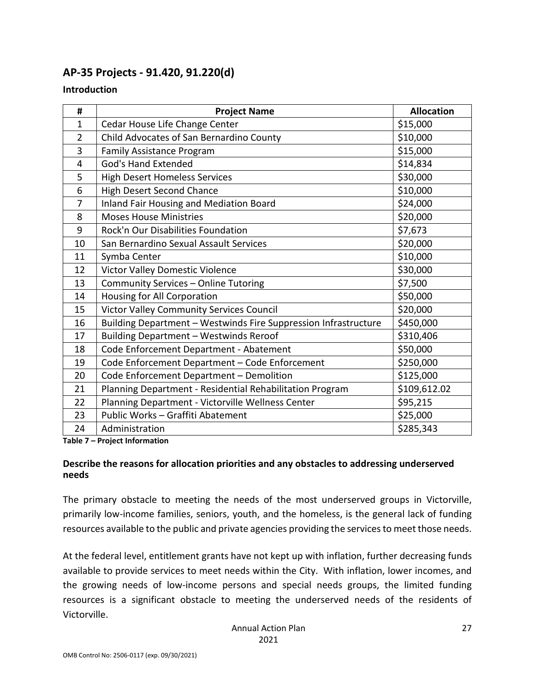## **AP-35 Projects - 91.420, 91.220(d)**

#### **Introduction**

| #              | <b>Project Name</b>                                             | <b>Allocation</b> |
|----------------|-----------------------------------------------------------------|-------------------|
| 1              | Cedar House Life Change Center                                  | \$15,000          |
| $\overline{2}$ | Child Advocates of San Bernardino County                        | \$10,000          |
| 3              | <b>Family Assistance Program</b>                                | \$15,000          |
| 4              | <b>God's Hand Extended</b>                                      | \$14,834          |
| 5              | <b>High Desert Homeless Services</b>                            | \$30,000          |
| 6              | <b>High Desert Second Chance</b>                                | \$10,000          |
| $\overline{7}$ | <b>Inland Fair Housing and Mediation Board</b>                  | \$24,000          |
| 8              | <b>Moses House Ministries</b>                                   | \$20,000          |
| 9              | Rock'n Our Disabilities Foundation                              | \$7,673           |
| 10             | San Bernardino Sexual Assault Services                          | \$20,000          |
| 11             | Symba Center                                                    | \$10,000          |
| 12             | Victor Valley Domestic Violence                                 | \$30,000          |
| 13             | Community Services - Online Tutoring                            | \$7,500           |
| 14             | Housing for All Corporation                                     | \$50,000          |
| 15             | <b>Victor Valley Community Services Council</b>                 | \$20,000          |
| 16             | Building Department - Westwinds Fire Suppression Infrastructure | \$450,000         |
| 17             | Building Department - Westwinds Reroof                          | \$310,406         |
| 18             | Code Enforcement Department - Abatement                         | \$50,000          |
| 19             | Code Enforcement Department - Code Enforcement                  | \$250,000         |
| 20             | Code Enforcement Department - Demolition                        | \$125,000         |
| 21             | Planning Department - Residential Rehabilitation Program        | \$109,612.02      |
| 22             | Planning Department - Victorville Wellness Center               | \$95,215          |
| 23             | Public Works - Graffiti Abatement                               | \$25,000          |
| 24             | Administration                                                  | \$285,343         |

**Table 7 – Project Information**

#### **Describe the reasons for allocation priorities and any obstacles to addressing underserved needs**

The primary obstacle to meeting the needs of the most underserved groups in Victorville, primarily low-income families, seniors, youth, and the homeless, is the general lack of funding resources available to the public and private agencies providing the services to meet those needs.

At the federal level, entitlement grants have not kept up with inflation, further decreasing funds available to provide services to meet needs within the City. With inflation, lower incomes, and the growing needs of low-income persons and special needs groups, the limited funding resources is a significant obstacle to meeting the underserved needs of the residents of Victorville.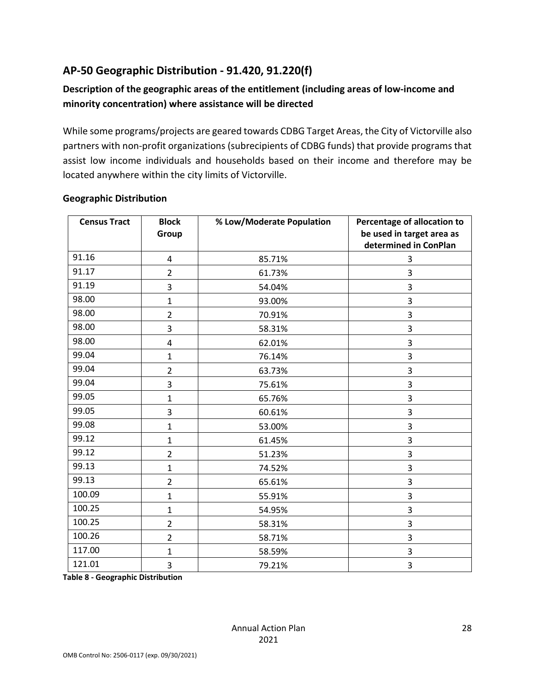## **AP-50 Geographic Distribution - 91.420, 91.220(f)**

## **Description of the geographic areas of the entitlement (including areas of low-income and minority concentration) where assistance will be directed**

While some programs/projects are geared towards CDBG Target Areas, the City of Victorville also partners with non-profit organizations (subrecipients of CDBG funds) that provide programs that assist low income individuals and households based on their income and therefore may be located anywhere within the city limits of Victorville.

| <b>Census Tract</b> | <b>Block</b><br>Group   | % Low/Moderate Population | Percentage of allocation to<br>be used in target area as<br>determined in ConPlan |
|---------------------|-------------------------|---------------------------|-----------------------------------------------------------------------------------|
| 91.16               | 4                       | 85.71%                    | 3                                                                                 |
| 91.17               | $\overline{2}$          | 61.73%                    | 3                                                                                 |
| 91.19               | 3                       | 54.04%                    | 3                                                                                 |
| 98.00               | $\mathbf{1}$            | 93.00%                    | 3                                                                                 |
| 98.00               | $\overline{2}$          | 70.91%                    | 3                                                                                 |
| 98.00               | 3                       | 58.31%                    | 3                                                                                 |
| 98.00               | $\overline{\mathbf{4}}$ | 62.01%                    | 3                                                                                 |
| 99.04               | $\mathbf{1}$            | 76.14%                    | 3                                                                                 |
| 99.04               | $\overline{2}$          | 63.73%                    | 3                                                                                 |
| 99.04               | 3                       | 75.61%                    | 3                                                                                 |
| 99.05               | $\mathbf{1}$            | 65.76%                    | 3                                                                                 |
| 99.05               | 3                       | 60.61%                    | 3                                                                                 |
| 99.08               | $\mathbf{1}$            | 53.00%                    | 3                                                                                 |
| 99.12               | $\mathbf 1$             | 61.45%                    | 3                                                                                 |
| 99.12               | $\overline{2}$          | 51.23%                    | 3                                                                                 |
| 99.13               | $\mathbf 1$             | 74.52%                    | 3                                                                                 |
| 99.13               | $\overline{2}$          | 65.61%                    | 3                                                                                 |
| 100.09              | $\mathbf 1$             | 55.91%                    | 3                                                                                 |
| 100.25              | $\mathbf{1}$            | 54.95%                    | 3                                                                                 |
| 100.25              | $\overline{2}$          | 58.31%                    | 3                                                                                 |
| 100.26              | $\overline{2}$          | 58.71%                    | 3                                                                                 |
| 117.00              | $\mathbf{1}$            | 58.59%                    | 3                                                                                 |
| 121.01              | 3                       | 79.21%                    | 3                                                                                 |

#### **Geographic Distribution**

**Table 8 - Geographic Distribution**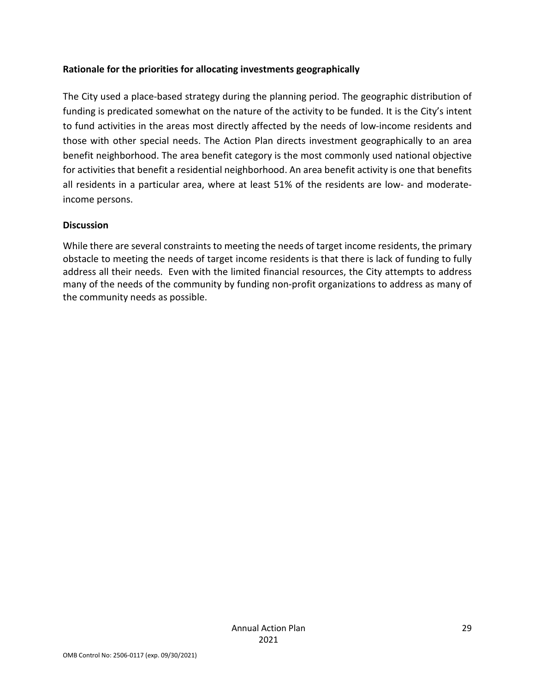#### **Rationale for the priorities for allocating investments geographically**

The City used a place-based strategy during the planning period. The geographic distribution of funding is predicated somewhat on the nature of the activity to be funded. It is the City's intent to fund activities in the areas most directly affected by the needs of low-income residents and those with other special needs. The Action Plan directs investment geographically to an area benefit neighborhood. The area benefit category is the most commonly used national objective for activities that benefit a residential neighborhood. An area benefit activity is one that benefits all residents in a particular area, where at least 51% of the residents are low- and moderateincome persons.

#### **Discussion**

While there are several constraints to meeting the needs of target income residents, the primary obstacle to meeting the needs of target income residents is that there is lack of funding to fully address all their needs. Even with the limited financial resources, the City attempts to address many of the needs of the community by funding non-profit organizations to address as many of the community needs as possible.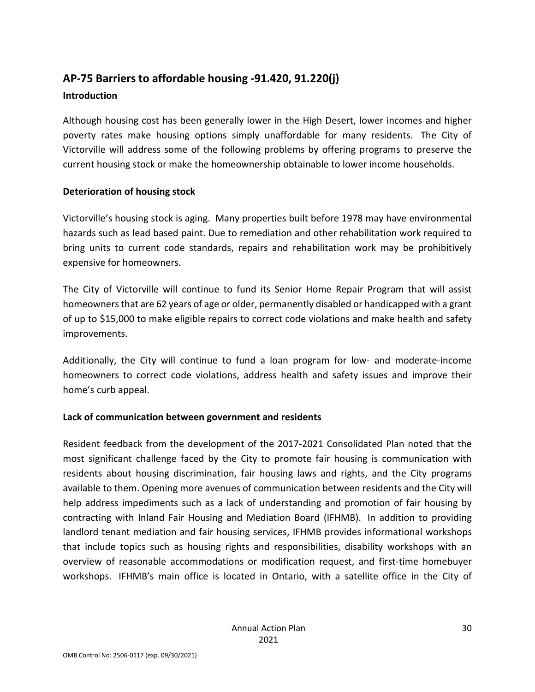## **AP-75 Barriers to affordable housing -91.420, 91.220(j) Introduction**

Although housing cost has been generally lower in the High Desert, lower incomes and higher poverty rates make housing options simply unaffordable for many residents. The City of Victorville will address some of the following problems by offering programs to preserve the current housing stock or make the homeownership obtainable to lower income households.

#### **Deterioration of housing stock**

Victorville's housing stock is aging. Many properties built before 1978 may have environmental hazards such as lead based paint. Due to remediation and other rehabilitation work required to bring units to current code standards, repairs and rehabilitation work may be prohibitively expensive for homeowners.

The City of Victorville will continue to fund its Senior Home Repair Program that will assist homeowners that are 62 years of age or older, permanently disabled or handicapped with a grant of up to \$15,000 to make eligible repairs to correct code violations and make health and safety improvements.

Additionally, the City will continue to fund a loan program for low- and moderate-income homeowners to correct code violations, address health and safety issues and improve their home's curb appeal.

#### **Lack of communication between government and residents**

Resident feedback from the development of the 2017-2021 Consolidated Plan noted that the most significant challenge faced by the City to promote fair housing is communication with residents about housing discrimination, fair housing laws and rights, and the City programs available to them. Opening more avenues of communication between residents and the City will help address impediments such as a lack of understanding and promotion of fair housing by contracting with Inland Fair Housing and Mediation Board (IFHMB). In addition to providing landlord tenant mediation and fair housing services, IFHMB provides informational workshops that include topics such as housing rights and responsibilities, disability workshops with an overview of reasonable accommodations or modification request, and first-time homebuyer workshops. IFHMB's main office is located in Ontario, with a satellite office in the City of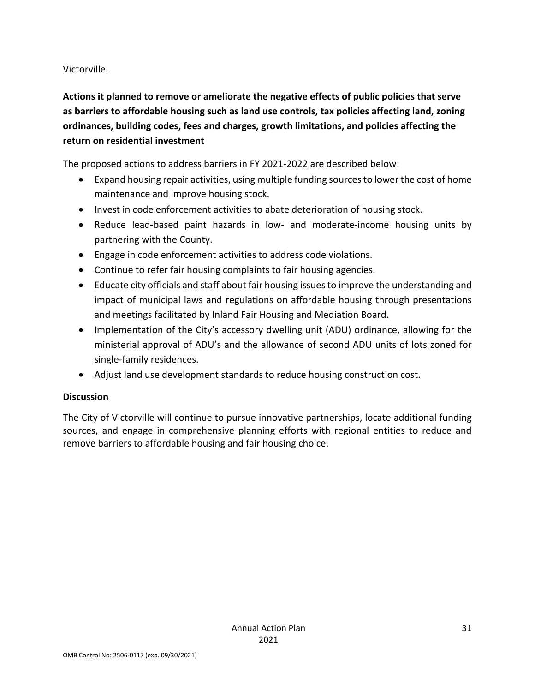Victorville.

**Actions it planned to remove or ameliorate the negative effects of public policies that serve as barriers to affordable housing such as land use controls, tax policies affecting land, zoning ordinances, building codes, fees and charges, growth limitations, and policies affecting the return on residential investment**

The proposed actions to address barriers in FY 2021-2022 are described below:

- Expand housing repair activities, using multiple funding sources to lower the cost of home maintenance and improve housing stock.
- Invest in code enforcement activities to abate deterioration of housing stock.
- Reduce lead-based paint hazards in low- and moderate-income housing units by partnering with the County.
- Engage in code enforcement activities to address code violations.
- Continue to refer fair housing complaints to fair housing agencies.
- Educate city officials and staff about fair housing issues to improve the understanding and impact of municipal laws and regulations on affordable housing through presentations and meetings facilitated by Inland Fair Housing and Mediation Board.
- Implementation of the City's accessory dwelling unit (ADU) ordinance, allowing for the ministerial approval of ADU's and the allowance of second ADU units of lots zoned for single-family residences.
- Adjust land use development standards to reduce housing construction cost.

## **Discussion**

The City of Victorville will continue to pursue innovative partnerships, locate additional funding sources, and engage in comprehensive planning efforts with regional entities to reduce and remove barriers to affordable housing and fair housing choice.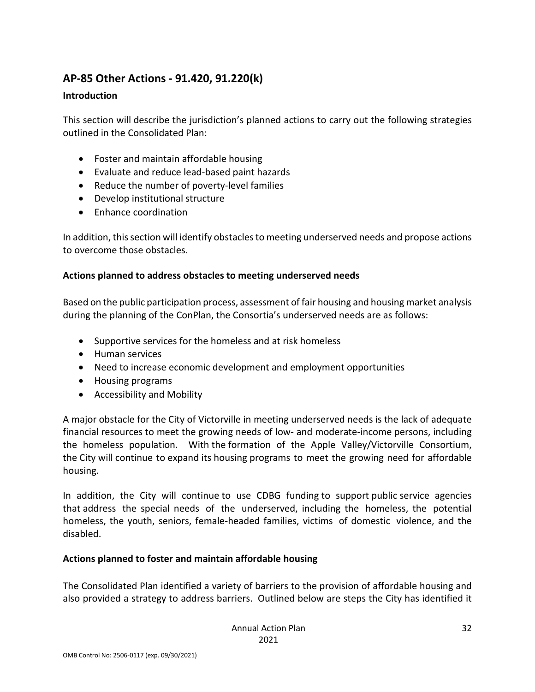## **AP-85 Other Actions - 91.420, 91.220(k)**

#### **Introduction**

This section will describe the jurisdiction's planned actions to carry out the following strategies outlined in the Consolidated Plan:

- Foster and maintain affordable housing
- Evaluate and reduce lead-based paint hazards
- Reduce the number of poverty-level families
- Develop institutional structure
- Enhance coordination

In addition, this section will identify obstacles to meeting underserved needs and propose actions to overcome those obstacles.

#### **Actions planned to address obstacles to meeting underserved needs**

Based on the public participation process, assessment of fair housing and housing market analysis during the planning of the ConPlan, the Consortia's underserved needs are as follows:

- Supportive services for the homeless and at risk homeless
- Human services
- Need to increase economic development and employment opportunities
- Housing programs
- Accessibility and Mobility

A major obstacle for the City of Victorville in meeting underserved needs is the lack of adequate financial resources to meet the growing needs of low- and moderate-income persons, including the homeless population. With the formation of the Apple Valley/Victorville Consortium, the City will continue to expand its housing programs to meet the growing need for affordable housing.

In addition, the City will continue to use CDBG funding to support public service agencies that address the special needs of the underserved, including the homeless, the potential homeless, the youth, seniors, female-headed families, victims of domestic violence, and the disabled.

#### **Actions planned to foster and maintain affordable housing**

The Consolidated Plan identified a variety of barriers to the provision of affordable housing and also provided a strategy to address barriers. Outlined below are steps the City has identified it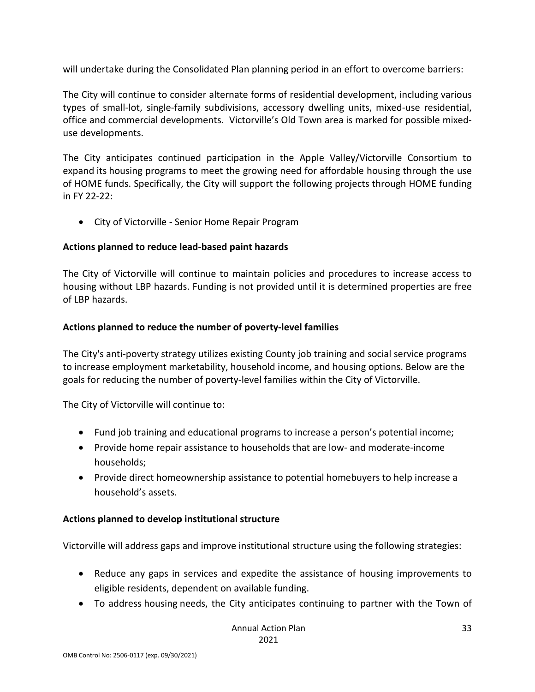will undertake during the Consolidated Plan planning period in an effort to overcome barriers:

The City will continue to consider alternate forms of residential development, including various types of small-lot, single-family subdivisions, accessory dwelling units, mixed-use residential, office and commercial developments. Victorville's Old Town area is marked for possible mixeduse developments.

The City anticipates continued participation in the Apple Valley/Victorville Consortium to expand its housing programs to meet the growing need for affordable housing through the use of HOME funds. Specifically, the City will support the following projects through HOME funding in FY 22-22:

• City of Victorville - Senior Home Repair Program

#### **Actions planned to reduce lead-based paint hazards**

The City of Victorville will continue to maintain policies and procedures to increase access to housing without LBP hazards. Funding is not provided until it is determined properties are free of LBP hazards.

#### **Actions planned to reduce the number of poverty-level families**

The City's anti-poverty strategy utilizes existing County job training and social service programs to increase employment marketability, household income, and housing options. Below are the goals for reducing the number of poverty-level families within the City of Victorville.

The City of Victorville will continue to:

- Fund job training and educational programs to increase a person's potential income;
- Provide home repair assistance to households that are low- and moderate-income households;
- Provide direct homeownership assistance to potential homebuyers to help increase a household's assets.

## **Actions planned to develop institutional structure**

Victorville will address gaps and improve institutional structure using the following strategies:

- Reduce any gaps in services and expedite the assistance of housing improvements to eligible residents, dependent on available funding.
- To address housing needs, the City anticipates continuing to partner with the Town of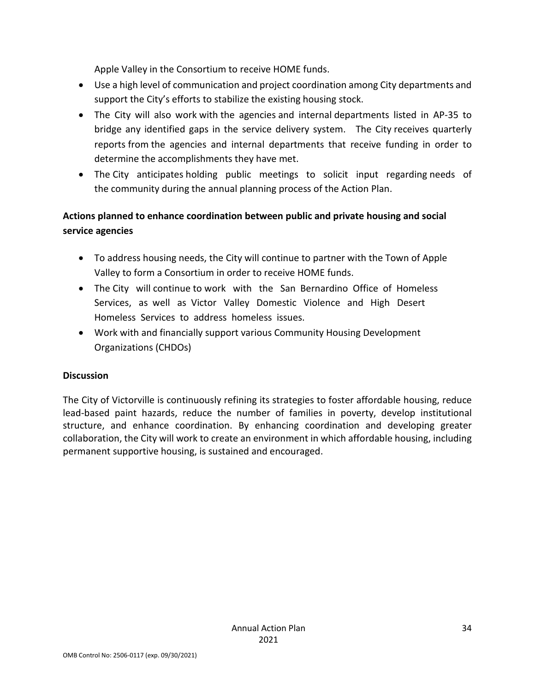Apple Valley in the Consortium to receive HOME funds.

- Use a high level of communication and project coordination among City departments and support the City's efforts to stabilize the existing housing stock.
- The City will also work with the agencies and internal departments listed in AP-35 to bridge any identified gaps in the service delivery system. The City receives quarterly reports from the agencies and internal departments that receive funding in order to determine the accomplishments they have met.
- The City anticipates holding public meetings to solicit input regarding needs of the community during the annual planning process of the Action Plan.

## **Actions planned to enhance coordination between public and private housing and social service agencies**

- To address housing needs, the City will continue to partner with the Town of Apple Valley to form a Consortium in order to receive HOME funds.
- The City will continue to work with the San Bernardino Office of Homeless Services, as well as Victor Valley Domestic Violence and High Desert Homeless Services to address homeless issues.
- Work with and financially support various Community Housing Development Organizations (CHDOs)

#### **Discussion**

The City of Victorville is continuously refining its strategies to foster affordable housing, reduce lead-based paint hazards, reduce the number of families in poverty, develop institutional structure, and enhance coordination. By enhancing coordination and developing greater collaboration, the City will work to create an environment in which affordable housing, including permanent supportive housing, is sustained and encouraged.